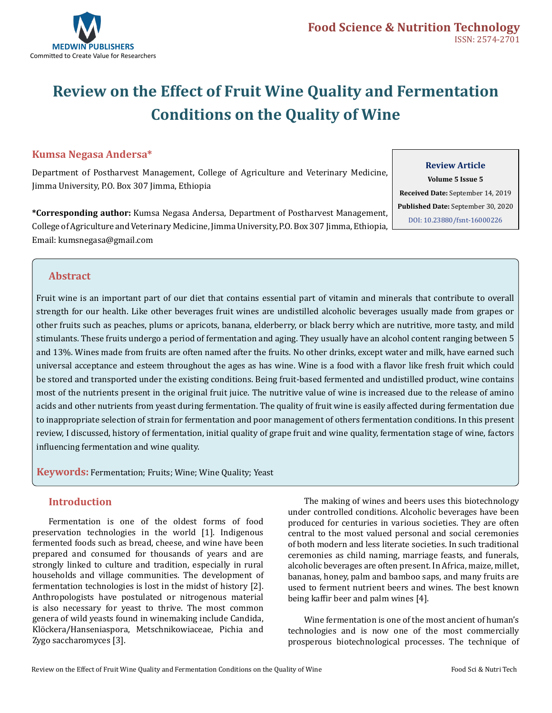

# **Review on the Effect of Fruit Wine Quality and Fermentation Conditions on the Quality of Wine**

# **Kumsa Negasa Andersa\***

Department of Postharvest Management, College of Agriculture and Veterinary Medicine, Jimma University, P.O. Box 307 Jimma, Ethiopia

**\*Corresponding author:** Kumsa Negasa Andersa, Department of Postharvest Management, College of Agriculture and Veterinary Medicine, Jimma University, P.O. Box 307 Jimma, Ethiopia, Email: kumsnegasa@gmail.com

## **Review Article**

**Volume 5 Issue 5 Received Date:** September 14, 2019 **Published Date:** September 30, 2020 [DOI: 10.23880/fsnt-16000226](https://doi.org/10.23880/fsnt-16000226)

## **Abstract**

Fruit wine is an important part of our diet that contains essential part of vitamin and minerals that contribute to overall strength for our health. Like other beverages fruit wines are undistilled alcoholic beverages usually made from grapes or other fruits such as peaches, plums or apricots, banana, elderberry, or black berry which are nutritive, more tasty, and mild stimulants. These fruits undergo a period of fermentation and aging. They usually have an alcohol content ranging between 5 and 13%. Wines made from fruits are often named after the fruits. No other drinks, except water and milk, have earned such universal acceptance and esteem throughout the ages as has wine. Wine is a food with a flavor like fresh fruit which could be stored and transported under the existing conditions. Being fruit-based fermented and undistilled product, wine contains most of the nutrients present in the original fruit juice. The nutritive value of wine is increased due to the release of amino acids and other nutrients from yeast during fermentation. The quality of fruit wine is easily affected during fermentation due to inappropriate selection of strain for fermentation and poor management of others fermentation conditions. In this present review, I discussed, history of fermentation, initial quality of grape fruit and wine quality, fermentation stage of wine, factors influencing fermentation and wine quality.

**Keywords:** Fermentation; Fruits; Wine; Wine Quality; Yeast

## **Introduction**

Fermentation is one of the oldest forms of food preservation technologies in the world [1]. Indigenous fermented foods such as bread, cheese, and wine have been prepared and consumed for thousands of years and are strongly linked to culture and tradition, especially in rural households and village communities. The development of fermentation technologies is lost in the midst of history [2]. Anthropologists have postulated or nitrogenous material is also necessary for yeast to thrive. The most common genera of wild yeasts found in winemaking include Candida, Klöckera/Hanseniaspora, Metschnikowiaceae, Pichia and Zygo saccharomyces [3].

The making of wines and beers uses this biotechnology under controlled conditions. Alcoholic beverages have been produced for centuries in various societies. They are often central to the most valued personal and social ceremonies of both modern and less literate societies. In such traditional ceremonies as child naming, marriage feasts, and funerals, alcoholic beverages are often present. In Africa, maize, millet, bananas, honey, palm and bamboo saps, and many fruits are used to ferment nutrient beers and wines. The best known being kaffir beer and palm wines [4].

Wine fermentation is one of the most ancient of human's technologies and is now one of the most commercially prosperous biotechnological processes. The technique of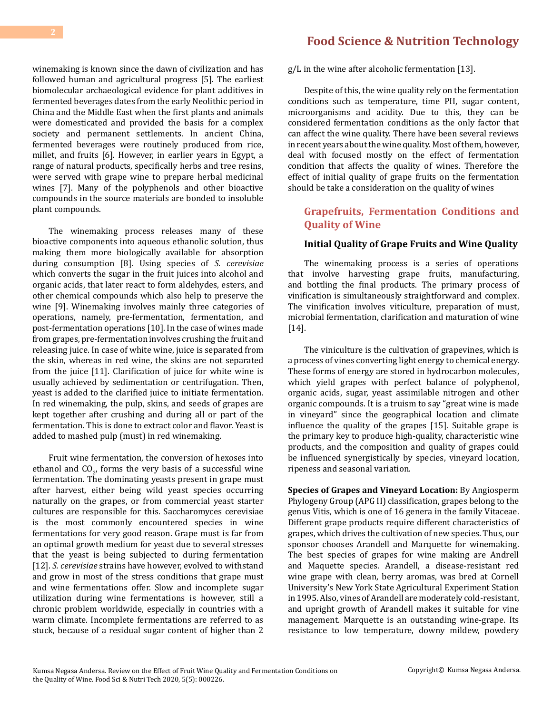winemaking is known since the dawn of civilization and has followed human and agricultural progress [5]. The earliest biomolecular archaeological evidence for plant additives in fermented beverages dates from the early Neolithic period in China and the Middle East when the first plants and animals were domesticated and provided the basis for a complex society and permanent settlements. In ancient China, fermented beverages were routinely produced from rice, millet, and fruits [6]. However, in earlier years in Egypt, a range of natural products, specifically herbs and tree resins, were served with grape wine to prepare herbal medicinal wines [7]. Many of the polyphenols and other bioactive compounds in the source materials are bonded to insoluble plant compounds.

The winemaking process releases many of these bioactive components into aqueous ethanolic solution, thus making them more biologically available for absorption during consumption [8]. Using species of *S. cerevisiae* which converts the sugar in the fruit juices into alcohol and organic acids, that later react to form aldehydes, esters, and other chemical compounds which also help to preserve the wine [9]. Winemaking involves mainly three categories of operations, namely, pre-fermentation, fermentation, and post-fermentation operations [10]. In the case of wines made from grapes, pre-fermentation involves crushing the fruit and releasing juice. In case of white wine, juice is separated from the skin, whereas in red wine, the skins are not separated from the juice [11]. Clarification of juice for white wine is usually achieved by sedimentation or centrifugation. Then, yeast is added to the clarified juice to initiate fermentation. In red winemaking, the pulp, skins, and seeds of grapes are kept together after crushing and during all or part of the fermentation. This is done to extract color and flavor. Yeast is added to mashed pulp (must) in red winemaking.

Fruit wine fermentation, the conversion of hexoses into ethanol and  $CO<sub>2</sub>$ , forms the very basis of a successful wine fermentation. The dominating yeasts present in grape must after harvest, either being wild yeast species occurring naturally on the grapes, or from commercial yeast starter cultures are responsible for this. Saccharomyces cerevisiae is the most commonly encountered species in wine fermentations for very good reason. Grape must is far from an optimal growth medium for yeast due to several stresses that the yeast is being subjected to during fermentation [12]. *S. cerevisiae* strains have however, evolved to withstand and grow in most of the stress conditions that grape must and wine fermentations offer. Slow and incomplete sugar utilization during wine fermentations is however, still a chronic problem worldwide, especially in countries with a warm climate. Incomplete fermentations are referred to as stuck, because of a residual sugar content of higher than 2

# **[Food Science & Nutrition Technology](https://medwinpublishers.com/FSNT/)**

g/L in the wine after alcoholic fermentation [13].

Despite of this, the wine quality rely on the fermentation conditions such as temperature, time PH, sugar content, microorganisms and acidity. Due to this, they can be considered fermentation conditions as the only factor that can affect the wine quality. There have been several reviews in recent years about the wine quality. Most of them, however, deal with focused mostly on the effect of fermentation condition that affects the quality of wines. Therefore the effect of initial quality of grape fruits on the fermentation should be take a consideration on the quality of wines

# **Grapefruits, Fermentation Conditions and Quality of Wine**

#### **Initial Quality of Grape Fruits and Wine Quality**

The winemaking process is a series of operations that involve harvesting grape fruits, manufacturing, and bottling the final products. The primary process of vinification is simultaneously straightforward and complex. The vinification involves viticulture, preparation of must, microbial fermentation, clarification and maturation of wine [14].

The viniculture is the cultivation of grapevines, which is a process of vines converting light energy to chemical energy. These forms of energy are stored in hydrocarbon molecules, which yield grapes with perfect balance of polyphenol, organic acids, sugar, yeast assimilable nitrogen and other organic compounds. It is a truism to say "great wine is made in vineyard" since the geographical location and climate influence the quality of the grapes [15]. Suitable grape is the primary key to produce high-quality, characteristic wine products, and the composition and quality of grapes could be influenced synergistically by species, vineyard location, ripeness and seasonal variation.

**Species of Grapes and Vineyard Location:** By Angiosperm Phylogeny Group (APG II) classification, grapes belong to the genus Vitis, which is one of 16 genera in the family Vitaceae. Different grape products require different characteristics of grapes, which drives the cultivation of new species. Thus, our sponsor chooses Arandell and Marquette for winemaking. The best species of grapes for wine making are Andrell and Maquette species. Arandell, a disease-resistant red wine grape with clean, berry aromas, was bred at Cornell University's New York State Agricultural Experiment Station in 1995. Also, vines of Arandell are moderately cold-resistant, and upright growth of Arandell makes it suitable for vine management. Marquette is an outstanding wine-grape. Its resistance to low temperature, downy mildew, powdery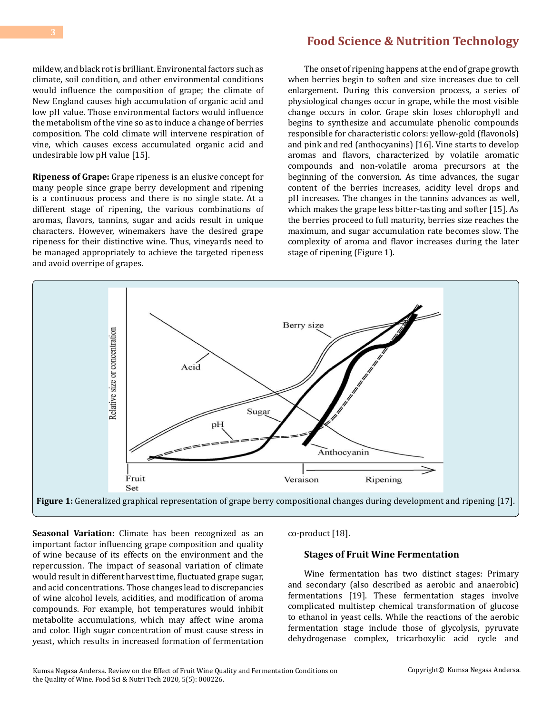mildew, and black rot is brilliant. Environental factors such as climate, soil condition, and other environmental conditions would influence the composition of grape; the climate of New England causes high accumulation of organic acid and low pH value. Those environmental factors would influence the metabolism of the vine so as to induce a change of berries composition. The cold climate will intervene respiration of vine, which causes excess accumulated organic acid and undesirable low pH value [15].

**Ripeness of Grape:** Grape ripeness is an elusive concept for many people since grape berry development and ripening is a continuous process and there is no single state. At a different stage of ripening, the various combinations of aromas, flavors, tannins, sugar and acids result in unique characters. However, winemakers have the desired grape ripeness for their distinctive wine. Thus, vineyards need to be managed appropriately to achieve the targeted ripeness and avoid overripe of grapes.

The onset of ripening happens at the end of grape growth when berries begin to soften and size increases due to cell enlargement. During this conversion process, a series of physiological changes occur in grape, while the most visible change occurs in color. Grape skin loses chlorophyll and begins to synthesize and accumulate phenolic compounds responsible for characteristic colors: yellow-gold (flavonols) and pink and red (anthocyanins) [16]. Vine starts to develop aromas and flavors, characterized by volatile aromatic compounds and non-volatile aroma precursors at the beginning of the conversion. As time advances, the sugar content of the berries increases, acidity level drops and pH increases. The changes in the tannins advances as well, which makes the grape less bitter-tasting and softer [15]. As the berries proceed to full maturity, berries size reaches the maximum, and sugar accumulation rate becomes slow. The complexity of aroma and flavor increases during the later stage of ripening (Figure 1).



**Seasonal Variation:** Climate has been recognized as an important factor influencing grape composition and quality of wine because of its effects on the environment and the repercussion. The impact of seasonal variation of climate would result in different harvest time, fluctuated grape sugar, and acid concentrations. Those changes lead to discrepancies of wine alcohol levels, acidities, and modification of aroma compounds. For example, hot temperatures would inhibit metabolite accumulations, which may affect wine aroma and color. High sugar concentration of must cause stress in yeast, which results in increased formation of fermentation co-product [18].

## **Stages of Fruit Wine Fermentation**

Wine fermentation has two distinct stages: Primary and secondary (also described as aerobic and anaerobic) fermentations [19]. These fermentation stages involve complicated multistep chemical transformation of glucose to ethanol in yeast cells. While the reactions of the aerobic fermentation stage include those of glycolysis, pyruvate dehydrogenase complex, tricarboxylic acid cycle and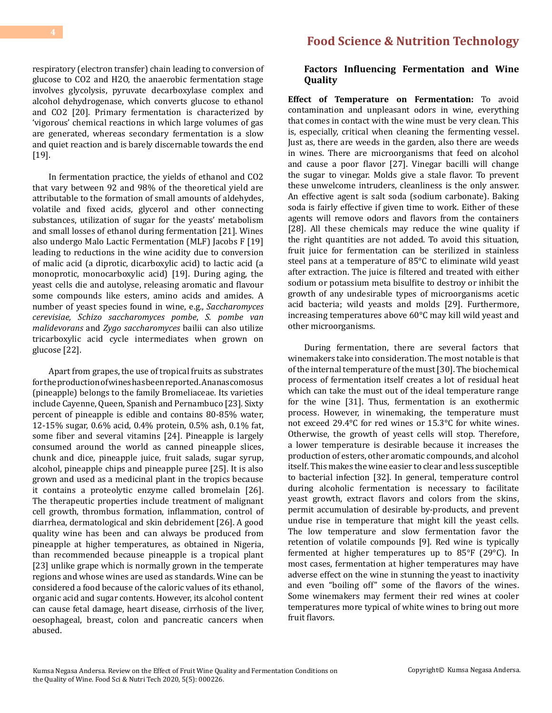respiratory (electron transfer) chain leading to conversion of glucose to CO2 and H2O, the anaerobic fermentation stage involves glycolysis, pyruvate decarboxylase complex and alcohol dehydrogenase, which converts glucose to ethanol and CO2 [20]. Primary fermentation is characterized by 'vigorous' chemical reactions in which large volumes of gas are generated, whereas secondary fermentation is a slow and quiet reaction and is barely discernable towards the end [19].

In fermentation practice, the yields of ethanol and CO2 that vary between 92 and 98% of the theoretical yield are attributable to the formation of small amounts of aldehydes, volatile and fixed acids, glycerol and other connecting substances, utilization of sugar for the yeasts' metabolism and small losses of ethanol during fermentation [21]. Wines also undergo Malo Lactic Fermentation (MLF) Jacobs F [19] leading to reductions in the wine acidity due to conversion of malic acid (a diprotic, dicarboxylic acid) to lactic acid (a monoprotic, monocarboxylic acid) [19]. During aging, the yeast cells die and autolyse, releasing aromatic and flavour some compounds like esters, amino acids and amides. A number of yeast species found in wine, e.g., *Saccharomyces cerevisiae, Schizo saccharomyces pombe*, *S. pombe van malidevorans* and *Zygo saccharomyces* bailii can also utilize tricarboxylic acid cycle intermediates when grown on glucose [22].

Apart from grapes, the use of tropical fruits as substrates for the production of wines has been reported. Ananascomosus (pineapple) belongs to the family Bromeliaceae. Its varieties include Cayenne, Queen, Spanish and Pernambuco [23]. Sixty percent of pineapple is edible and contains 80-85% water, 12-15% sugar, 0.6% acid, 0.4% protein, 0.5% ash, 0.1% fat, some fiber and several vitamins [24]. Pineapple is largely consumed around the world as canned pineapple slices, chunk and dice, pineapple juice, fruit salads, sugar syrup, alcohol, pineapple chips and pineapple puree [25]. It is also grown and used as a medicinal plant in the tropics because it contains a proteolytic enzyme called bromelain [26]. The therapeutic properties include treatment of malignant cell growth, thrombus formation, inflammation, control of diarrhea, dermatological and skin debridement [26]. A good quality wine has been and can always be produced from pineapple at higher temperatures, as obtained in Nigeria, than recommended because pineapple is a tropical plant [23] unlike grape which is normally grown in the temperate regions and whose wines are used as standards. Wine can be considered a food because of the caloric values of its ethanol, organic acid and sugar contents. However, its alcohol content can cause fetal damage, heart disease, cirrhosis of the liver, oesophageal, breast, colon and pancreatic cancers when abused.

#### **Factors Influencing Fermentation and Wine Quality**

**Effect of Temperature on Fermentation:** To avoid contamination and unpleasant odors in wine, everything that comes in contact with the wine must be very clean. This is, especially, critical when cleaning the fermenting vessel. Just as, there are weeds in the garden, also there are weeds in wines. There are microorganisms that feed on alcohol and cause a poor flavor [27]. Vinegar bacilli will change the sugar to vinegar. Molds give a stale flavor. To prevent these unwelcome intruders, cleanliness is the only answer. An effective agent is salt soda (sodium carbonate). Baking soda is fairly effective if given time to work. Either of these agents will remove odors and flavors from the containers [28]. All these chemicals may reduce the wine quality if the right quantities are not added. To avoid this situation, fruit juice for fermentation can be sterilized in stainless steel pans at a temperature of 85°C to eliminate wild yeast after extraction. The juice is filtered and treated with either sodium or potassium meta bisulfite to destroy or inhibit the growth of any undesirable types of microorganisms acetic acid bacteria; wild yeasts and molds [29]. Furthermore, increasing temperatures above 60°C may kill wild yeast and other microorganisms.

During fermentation, there are several factors that winemakers take into consideration. The most notable is that of the internal temperature of the must [30]. The biochemical process of fermentation itself creates a lot of residual heat which can take the must out of the ideal temperature range for the wine [31]. Thus, fermentation is an exothermic process. However, in winemaking, the temperature must not exceed 29.4°C for red wines or 15.3°C for white wines. Otherwise, the growth of yeast cells will stop. Therefore, a lower temperature is desirable because it increases the production of esters, other aromatic compounds, and alcohol itself. This makes the wine easier to clear and less susceptible to bacterial infection [32]. In general, temperature control during alcoholic fermentation is necessary to facilitate yeast growth, extract flavors and colors from the skins, permit accumulation of desirable by-products, and prevent undue rise in temperature that might kill the yeast cells. The low temperature and slow fermentation favor the retention of volatile compounds [9]. Red wine is typically fermented at higher temperatures up to 85°F (29°C). In most cases, fermentation at higher temperatures may have adverse effect on the wine in stunning the yeast to inactivity and even "boiling off" some of the flavors of the wines. Some winemakers may ferment their red wines at cooler temperatures more typical of white wines to bring out more fruit flavors.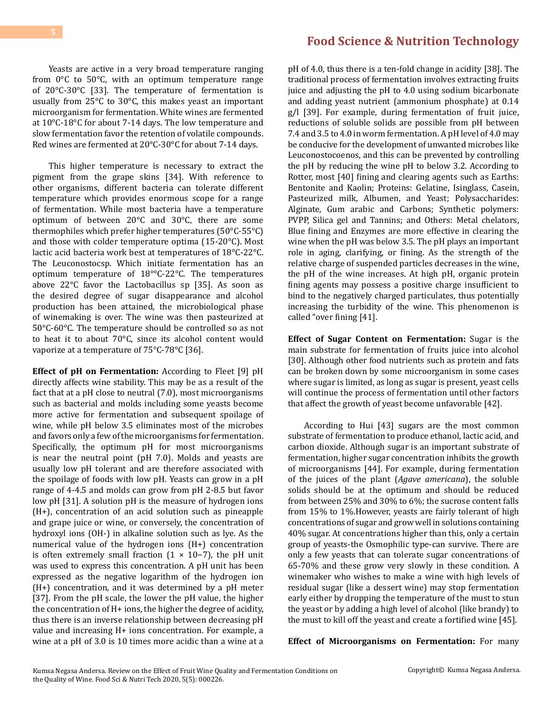#### Yeasts are active in a very broad temperature ranging from 0°C to 50°C, with an optimum temperature range of 20°C-30°C [33]. The temperature of fermentation is usually from 25°C to 30°C, this makes yeast an important microorganism for fermentation. White wines are fermented at 10°C-18°C for about 7-14 days. The low temperature and slow fermentation favor the retention of volatile compounds. Red wines are fermented at 20°C-30°C for about 7-14 days.

This higher temperature is necessary to extract the pigment from the grape skins [34]. With reference to other organisms, different bacteria can tolerate different temperature which provides enormous scope for a range of fermentation. While most bacteria have a temperature optimum of between 20°C and 30°C, there are some thermophiles which prefer higher temperatures (50°C-55°C) and those with colder temperature optima (15-20°C). Most lactic acid bacteria work best at temperatures of 18°C-22°C. The Leuconostocsp. Which initiate fermentation has an optimum temperature of 18°°C-22°C. The temperatures above 22°C favor the Lactobacillus sp [35]. As soon as the desired degree of sugar disappearance and alcohol production has been attained, the microbiological phase of winemaking is over. The wine was then pasteurized at 50°C-60°C. The temperature should be controlled so as not to heat it to about 70°C, since its alcohol content would vaporize at a temperature of 75°C-78°C [36].

**Effect of pH on Fermentation:** According to Fleet [9] pH directly affects wine stability. This may be as a result of the fact that at a pH close to neutral (7.0), most microorganisms such as bacterial and molds including some yeasts become more active for fermentation and subsequent spoilage of wine, while pH below 3.5 eliminates most of the microbes and favors only a few of the microorganisms for fermentation. Specifically, the optimum pH for most microorganisms is near the neutral point (pH 7.0). Molds and yeasts are usually low pH tolerant and are therefore associated with the spoilage of foods with low pH. Yeasts can grow in a pH range of 4-4.5 and molds can grow from pH 2-8.5 but favor low pH [31]. A solution pH is the measure of hydrogen ions (H+), concentration of an acid solution such as pineapple and grape juice or wine, or conversely, the concentration of hydroxyl ions (OH-) in alkaline solution such as lye. As the numerical value of the hydrogen ions (H+) concentration is often extremely small fraction (1 × 10−7), the pH unit was used to express this concentration. A pH unit has been expressed as the negative logarithm of the hydrogen ion (H+) concentration, and it was determined by a pH meter [37]. From the pH scale, the lower the pH value, the higher the concentration of H+ ions, the higher the degree of acidity, thus there is an inverse relationship between decreasing pH value and increasing H+ ions concentration. For example, a wine at a pH of 3.0 is 10 times more acidic than a wine at a

# **[Food Science & Nutrition Technology](https://medwinpublishers.com/FSNT/)**

pH of 4.0, thus there is a ten-fold change in acidity [38]. The traditional process of fermentation involves extracting fruits juice and adjusting the pH to 4.0 using sodium bicarbonate and adding yeast nutrient (ammonium phosphate) at 0.14 g/l [39]. For example, during fermentation of fruit juice, reductions of soluble solids are possible from pH between 7.4 and 3.5 to 4.0 in worm fermentation. A pH level of 4.0 may be conducive for the development of unwanted microbes like Leuconostocoenos, and this can be prevented by controlling the pH by reducing the wine pH to below 3.2. According to Rotter, most [40] fining and clearing agents such as Earths: Bentonite and Kaolin; Proteins: Gelatine, Isinglass, Casein, Pasteurized milk, Albumen, and Yeast; Polysaccharides: Alginate, Gum arabic and Carbons; Synthetic polymers: PVPP, Silica gel and Tannins; and Others: Metal chelators, Blue fining and Enzymes are more effective in clearing the wine when the pH was below 3.5. The pH plays an important role in aging, clarifying, or fining. As the strength of the relative charge of suspended particles decreases in the wine, the pH of the wine increases. At high pH, organic protein fining agents may possess a positive charge insufficient to bind to the negatively charged particulates, thus potentially increasing the turbidity of the wine. This phenomenon is called "over fining [41].

**Effect of Sugar Content on Fermentation:** Sugar is the main substrate for fermentation of fruits juice into alcohol [30]. Although other food nutrients such as protein and fats can be broken down by some microorganism in some cases where sugar is limited, as long as sugar is present, yeast cells will continue the process of fermentation until other factors that affect the growth of yeast become unfavorable [42].

According to Hui [43] sugars are the most common substrate of fermentation to produce ethanol, lactic acid, and carbon dioxide. Although sugar is an important substrate of fermentation, higher sugar concentration inhibits the growth of microorganisms [44]. For example, during fermentation of the juices of the plant (*Agave americana*), the soluble solids should be at the optimum and should be reduced from between 25% and 30% to 6%; the sucrose content falls from 15% to 1%.However, yeasts are fairly tolerant of high concentrations of sugar and grow well in solutions containing 40% sugar. At concentrations higher than this, only a certain group of yeasts-the Osmophilic type-can survive. There are only a few yeasts that can tolerate sugar concentrations of 65-70% and these grow very slowly in these condition. A winemaker who wishes to make a wine with high levels of residual sugar (like a dessert wine) may stop fermentation early either by dropping the temperature of the must to stun the yeast or by adding a high level of alcohol (like brandy) to the must to kill off the yeast and create a fortified wine [45].

**Effect of Microorganisms on Fermentation:** For many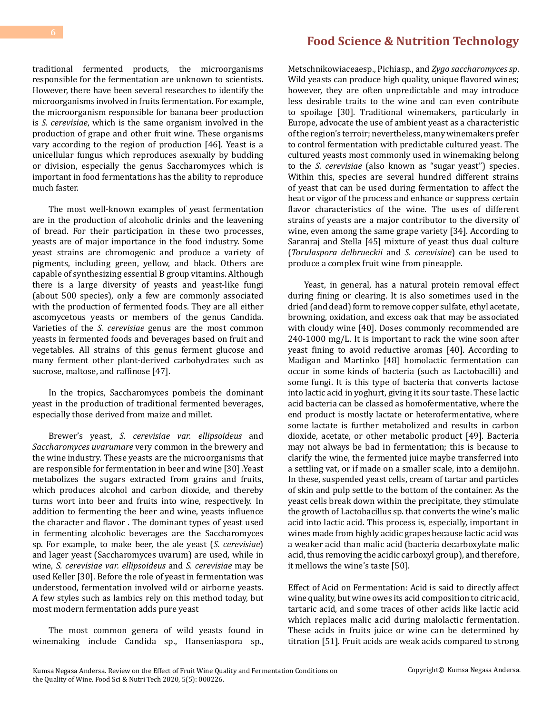traditional fermented products, the microorganisms responsible for the fermentation are unknown to scientists. However, there have been several researches to identify the microorganisms involved in fruits fermentation. For example, the microorganism responsible for banana beer production is *S. cerevisiae*, which is the same organism involved in the production of grape and other fruit wine. These organisms vary according to the region of production [46]. Yeast is a unicellular fungus which reproduces asexually by budding or division, especially the genus Saccharomyces which is important in food fermentations has the ability to reproduce much faster.

The most well-known examples of yeast fermentation are in the production of alcoholic drinks and the leavening of bread. For their participation in these two processes, yeasts are of major importance in the food industry. Some yeast strains are chromogenic and produce a variety of pigments, including green, yellow, and black. Others are capable of synthesizing essential B group vitamins. Although there is a large diversity of yeasts and yeast-like fungi (about 500 species), only a few are commonly associated with the production of fermented foods. They are all either ascomycetous yeasts or members of the genus Candida. Varieties of the *S. cerevisiae* genus are the most common yeasts in fermented foods and beverages based on fruit and vegetables. All strains of this genus ferment glucose and many ferment other plant-derived carbohydrates such as sucrose, maltose, and raffinose [47].

In the tropics, Saccharomyces pombeis the dominant yeast in the production of traditional fermented beverages, especially those derived from maize and millet.

Brewer's yeast, *S. cerevisiae var. ellipsoideus* and *Saccharomyces uvarumare* very common in the brewery and the wine industry. These yeasts are the microorganisms that are responsible for fermentation in beer and wine [30] .Yeast metabolizes the sugars extracted from grains and fruits, which produces alcohol and carbon dioxide, and thereby turns wort into beer and fruits into wine, respectively. In addition to fermenting the beer and wine, yeasts influence the character and flavor . The dominant types of yeast used in fermenting alcoholic beverages are the Saccharomyces sp. For example, to make beer, the ale yeast (*S. cerevisiae*) and lager yeast (Saccharomyces uvarum) are used, while in wine, *S. cerevisiae var. ellipsoideus* and *S. cerevisiae* may be used Keller [30]. Before the role of yeast in fermentation was understood, fermentation involved wild or airborne yeasts. A few styles such as lambics rely on this method today, but most modern fermentation adds pure yeast

The most common genera of wild yeasts found in winemaking include Candida sp., Hanseniaspora sp.,

# **[Food Science & Nutrition Technology](https://medwinpublishers.com/FSNT/)**

Metschnikowiaceaesp., Pichiasp., and *Zygo saccharomyces sp*. Wild yeasts can produce high quality, unique flavored wines; however, they are often unpredictable and may introduce less desirable traits to the wine and can even contribute to spoilage [30]. Traditional winemakers, particularly in Europe, advocate the use of ambient yeast as a characteristic of the region's terroir; nevertheless, many winemakers prefer to control fermentation with predictable cultured yeast. The cultured yeasts most commonly used in winemaking belong to the *S. cerevisiae* (also known as "sugar yeast") species. Within this, species are several hundred different strains of yeast that can be used during fermentation to affect the heat or vigor of the process and enhance or suppress certain flavor characteristics of the wine. The uses of different strains of yeasts are a major contributor to the diversity of wine, even among the same grape variety [34]. According to Saranraj and Stella [45] mixture of yeast thus dual culture (*Torulaspora delbrueckii* and *S. cerevisiae*) can be used to produce a complex fruit wine from pineapple.

Yeast, in general, has a natural protein removal effect during fining or clearing. It is also sometimes used in the dried (and dead) form to remove copper sulfate, ethyl acetate, browning, oxidation, and excess oak that may be associated with cloudy wine [40]. Doses commonly recommended are 240-1000 mg/L. It is important to rack the wine soon after yeast fining to avoid reductive aromas [40]. According to Madigan and Martinko [48] homolactic fermentation can occur in some kinds of bacteria (such as Lactobacilli) and some fungi. It is this type of bacteria that converts lactose into lactic acid in yoghurt, giving it its sour taste. These lactic acid bacteria can be classed as homofermentative, where the end product is mostly lactate or heterofermentative, where some lactate is further metabolized and results in carbon dioxide, acetate, or other metabolic product [49]. Bacteria may not always be bad in fermentation; this is because to clarify the wine, the fermented juice maybe transferred into a settling vat, or if made on a smaller scale, into a demijohn. In these, suspended yeast cells, cream of tartar and particles of skin and pulp settle to the bottom of the container. As the yeast cells break down within the precipitate, they stimulate the growth of Lactobacillus sp. that converts the wine's malic acid into lactic acid. This process is, especially, important in wines made from highly acidic grapes because lactic acid was a weaker acid than malic acid (bacteria decarboxylate malic acid, thus removing the acidic carboxyl group), and therefore, it mellows the wine's taste [50].

Effect of Acid on Fermentation: Acid is said to directly affect wine quality, but wine owes its acid composition to citric acid, tartaric acid, and some traces of other acids like lactic acid which replaces malic acid during malolactic fermentation. These acids in fruits juice or wine can be determined by titration [51]. Fruit acids are weak acids compared to strong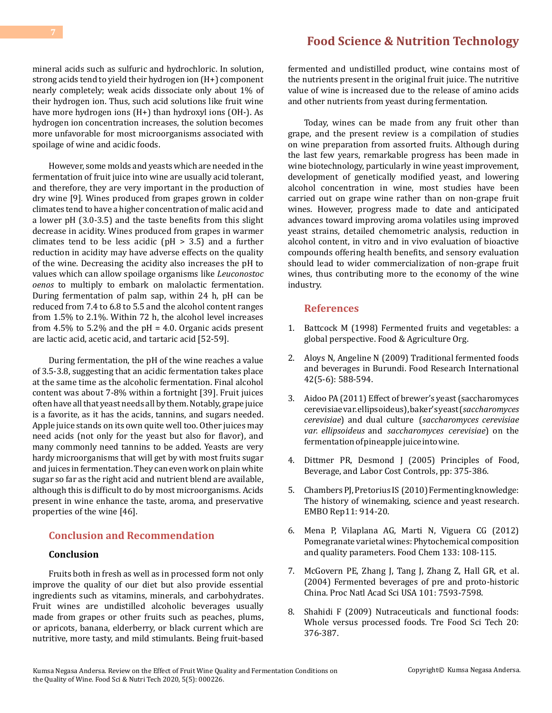#### mineral acids such as sulfuric and hydrochloric. In solution, strong acids tend to yield their hydrogen ion (H+) component nearly completely; weak acids dissociate only about 1% of their hydrogen ion. Thus, such acid solutions like fruit wine have more hydrogen ions (H+) than hydroxyl ions (OH-). As hydrogen ion concentration increases, the solution becomes more unfavorable for most microorganisms associated with spoilage of wine and acidic foods.

However, some molds and yeasts which are needed in the fermentation of fruit juice into wine are usually acid tolerant, and therefore, they are very important in the production of dry wine [9]. Wines produced from grapes grown in colder climates tend to have a higher concentration of malic acid and a lower pH (3.0-3.5) and the taste benefits from this slight decrease in acidity. Wines produced from grapes in warmer climates tend to be less acidic ( $pH > 3.5$ ) and a further reduction in acidity may have adverse effects on the quality of the wine. Decreasing the acidity also increases the pH to values which can allow spoilage organisms like *Leuconostoc oenos* to multiply to embark on malolactic fermentation. During fermentation of palm sap, within 24 h, pH can be reduced from 7.4 to 6.8 to 5.5 and the alcohol content ranges from 1.5% to 2.1%. Within 72 h, the alcohol level increases from 4.5% to 5.2% and the  $pH = 4.0$ . Organic acids present are lactic acid, acetic acid, and tartaric acid [52-59].

During fermentation, the pH of the wine reaches a value of 3.5-3.8, suggesting that an acidic fermentation takes place at the same time as the alcoholic fermentation. Final alcohol content was about 7-8% within a fortnight [39]. Fruit juices often have all that yeast needs all by them. Notably, grape juice is a favorite, as it has the acids, tannins, and sugars needed. Apple juice stands on its own quite well too. Other juices may need acids (not only for the yeast but also for flavor), and many commonly need tannins to be added. Yeasts are very hardy microorganisms that will get by with most fruits sugar and juices in fermentation. They can even work on plain white sugar so far as the right acid and nutrient blend are available, although this is difficult to do by most microorganisms. Acids present in wine enhance the taste, aroma, and preservative properties of the wine [46].

## **Conclusion and Recommendation**

#### **Conclusion**

Fruits both in fresh as well as in processed form not only improve the quality of our diet but also provide essential ingredients such as vitamins, minerals, and carbohydrates. Fruit wines are undistilled alcoholic beverages usually made from grapes or other fruits such as peaches, plums, or apricots, banana, elderberry, or black current which are nutritive, more tasty, and mild stimulants. Being fruit-based

# **[Food Science & Nutrition Technology](https://medwinpublishers.com/FSNT/)**

fermented and undistilled product, wine contains most of the nutrients present in the original fruit juice. The nutritive value of wine is increased due to the release of amino acids and other nutrients from yeast during fermentation.

Today, wines can be made from any fruit other than grape, and the present review is a compilation of studies on wine preparation from assorted fruits. Although during the last few years, remarkable progress has been made in wine biotechnology, particularly in wine yeast improvement, development of genetically modified yeast, and lowering alcohol concentration in wine, most studies have been carried out on grape wine rather than on non-grape fruit wines. However, progress made to date and anticipated advances toward improving aroma volatiles using improved yeast strains, detailed chemometric analysis, reduction in alcohol content, in vitro and in vivo evaluation of bioactive compounds offering health benefits, and sensory evaluation should lead to wider commercialization of non-grape fruit wines, thus contributing more to the economy of the wine industry.

#### **References**

- 1. [Battcock M \(1998\) Fermented fruits and vegetables: a](http://www.fao.org/3/x0560E/x0560E00.htm) [global perspective. Food & Agriculture Org.](http://www.fao.org/3/x0560E/x0560E00.htm)
- 2. [Aloys N, Angeline N \(2009\) Traditional fermented foods](https://agris.fao.org/agris-search/search.do?recordID=US201301632655) [and beverages in Burundi. Food Research International](https://agris.fao.org/agris-search/search.do?recordID=US201301632655)  [42\(5-6\): 588-594.](https://agris.fao.org/agris-search/search.do?recordID=US201301632655)
- 3. [Aidoo PA \(2011\) Effect of brewer's yeast \(saccharomyces](http://ir.knust.edu.gh/xmlui/handle/123456789/4111) [cerevisiae var. ellipsoideus\), baker's yeast \(](http://ir.knust.edu.gh/xmlui/handle/123456789/4111)*saccharomyces cerevisiae*) and dual culture (*[saccharomyces](http://ir.knust.edu.gh/xmlui/handle/123456789/4111) cerevisiae var. ellipsoideus* and *[saccharomyces cerevisiae](http://ir.knust.edu.gh/xmlui/handle/123456789/4111)*) on the [fermentationofpineapplejuiceintowine.](http://ir.knust.edu.gh/xmlui/handle/123456789/4111)
- 4. Dittmer PR, Desmond J (2005) Principles of Food, Beverage, and Labor Cost Controls, pp: 375-386.
- 5. Chambers PJ, Pretorius IS (2010) Fermenting knowledge: The history of [winemaking,](https://www.ncbi.nlm.nih.gov/pmc/articles/PMC2999870/) science and yeast research. [EMBO Rep11: 914-20.](https://www.ncbi.nlm.nih.gov/pmc/articles/PMC2999870/)
- 6. [Mena P, Vilaplana AG, Marti N, Viguera CG \(2012\)](https://www.sciencedirect.com/science/article/abs/pii/S030881461200012X) [Pomegranate varietal wines: Phytochemical composition](https://www.sciencedirect.com/science/article/abs/pii/S030881461200012X) [and quality parameters. Food Chem 133: 108-115.](https://www.sciencedirect.com/science/article/abs/pii/S030881461200012X)
- 7. [McGovern PE, Zhang J, Tang J, Zhang Z, Hall GR, et al.](https://www.pnas.org/content/101/51/17593)  [\(2004\) Fermented beverages of pre](https://www.pnas.org/content/101/51/17593) and proto-historic [China. Proc Natl Acad Sci USA 101: 7593-7598.](https://www.pnas.org/content/101/51/17593)
- 8. Shahidi F (2009) [Nutraceuticals and functional foods:](https://www.sciencedirect.com/science/article/abs/pii/S092422440800229X) [Whole versus processed foods. Tre Food Sci Tech 20:](https://www.sciencedirect.com/science/article/abs/pii/S092422440800229X) [376-387.](https://www.sciencedirect.com/science/article/abs/pii/S092422440800229X)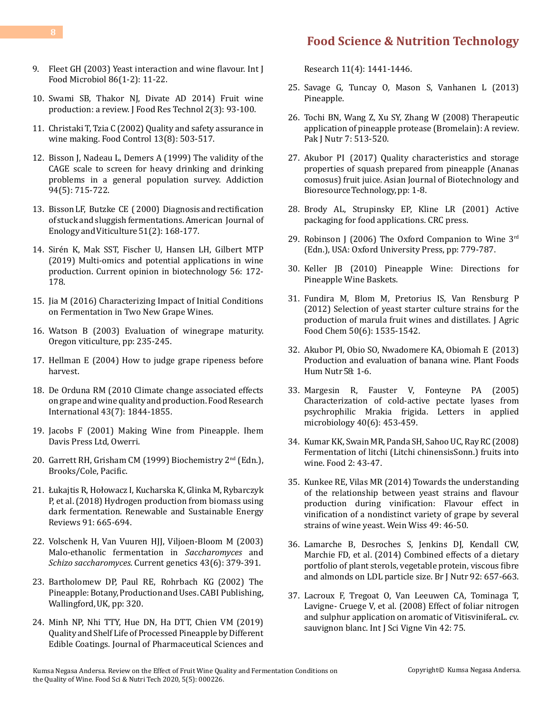- 9. [Fleet GH \(2003\) Yeast interaction and wine flavour. Int J](https://www.sciencedirect.com/science/article/abs/pii/S0168160503002459) [Food Microbiol 86\(1-2\): 11-22.](https://www.sciencedirect.com/science/article/abs/pii/S0168160503002459)
- 10. [Swami SB, Thakor NJ, Divate AD 2014\) Fruit wine](http://www.jakraya.com/journal/pdf/5-jfrtArticle_1.pdf) [production: a review. J Food Res Technol 2\(3\): 93-100.](http://www.jakraya.com/journal/pdf/5-jfrtArticle_1.pdf)
- 11. [Christaki T, Tzia C \(2002\) Quality and safety assurance in](https://www.sciencedirect.com/science/article/abs/pii/S0956713502000300) [wine making. Food Control 13\(8\): 503-517.](https://www.sciencedirect.com/science/article/abs/pii/S0956713502000300)
- 12. [Bisson J, Nadeau L, Demers A \(1999\) The validity of the](https://pubmed.ncbi.nlm.nih.gov/10563036/) [CAGE scale to screen for heavy drinking and drinking](https://pubmed.ncbi.nlm.nih.gov/10563036/) [problems in a general population survey. Addiction](https://pubmed.ncbi.nlm.nih.gov/10563036/) [94\(5\): 715-722.](https://pubmed.ncbi.nlm.nih.gov/10563036/)
- 13. [BissonLF, Butzke CE \(2000\) Diagnosis](https://www.ajevonline.org/content/51/2/168) andrectification of stuck and sluggish [fermentations.American Journal](https://www.ajevonline.org/content/51/2/168) of Enology and Viticulture 51(2): 168-177.
- 14. [Sirén K, Mak SST, Fischer U, Hansen LH, Gilbert MTP](https://pubmed.ncbi.nlm.nih.gov/30530242/) [\(2019\) Multi-omics and potential applications in wine](https://pubmed.ncbi.nlm.nih.gov/30530242/) [production. Current opinion in biotechnology 56: 172-](https://pubmed.ncbi.nlm.nih.gov/30530242/) [178.](https://pubmed.ncbi.nlm.nih.gov/30530242/)
- 15. [Jia M \(2016\) Characterizing Impact of Initial Conditions](https://digitalcommons.wpi.edu/mqp-all/1956/) [on Fermentation in Two New Grape Wines.](https://digitalcommons.wpi.edu/mqp-all/1956/)
- 16. Watson B (2003) Evaluation of winegrape maturity. Oregon viticulture, pp: 235-245.
- 17. [Hellman E \(2004\) How to judge grape ripeness before](http://agrilife.org/winegrapes/files/2015/11/ripening.pdf) [harvest.](http://agrilife.org/winegrapes/files/2015/11/ripening.pdf)
- 18. [De Orduna RM \(2010 Climate change associated effects](https://www.sciencedirect.com/science/article/abs/pii/S0963996910001535) [on grape and wine quality and production. Food Research](https://www.sciencedirect.com/science/article/abs/pii/S0963996910001535) [International 43\(7\): 1844-1855.](https://www.sciencedirect.com/science/article/abs/pii/S0963996910001535)
- 19. Jacobs F (2001) Making Wine from Pineapple. Ihem Davis Press Ltd, Owerri.
- 20. Garrett RH, Grisham CM (1999) Biochemistry 2nd (Edn.), Brooks/Cole, Pacific.
- 21. Łukajtis R, Hołowacz I, Kucharska K, Glinka M, Rybarczyk P, et al. (2018) Hydrogen production from biomass using dark fermentation. Renewable and Sustainable Energy Reviews 91: 665-694.
- 22. [Volschenk H, Van Vuuren HJJ, Viljoen-Bloom M \(2003\)](https://pubmed.ncbi.nlm.nih.gov/12802505/) [Malo-ethanolic fermentation in](https://pubmed.ncbi.nlm.nih.gov/12802505/) *Saccharomyces* and *Schizo saccharomyces*[. Current genetics 43\(6\): 379-391.](https://pubmed.ncbi.nlm.nih.gov/12802505/)
- 23. Bartholomew DP, Paul [RE, Rohrbach KG \(2002\)](https://www.cabi.org/ISC/ebook/20023183451) The Pineapple: Botany, Production and Uses. CABI Publishing, Wallingford, UK, pp: 320.
- 24. [Minh NP, Nhi TTY, Hue DN, Ha DTT, Chien VM \(2019\)](https://search.proquest.com/openview/7a8d7abe4b7cab7ea5237fe8affd9255/1?pq-origsite=gscholar&cbl=54977) [Quality and Shelf Life of Processed Pineapple by Different](https://search.proquest.com/openview/7a8d7abe4b7cab7ea5237fe8affd9255/1?pq-origsite=gscholar&cbl=54977) [Edible Coatings. Journal of Pharmaceutical Sciences and](https://search.proquest.com/openview/7a8d7abe4b7cab7ea5237fe8affd9255/1?pq-origsite=gscholar&cbl=54977)

[Research 11\(4\): 1441-1446.](https://search.proquest.com/openview/7a8d7abe4b7cab7ea5237fe8affd9255/1?pq-origsite=gscholar&cbl=54977)

- 25. Savage G, Tuncay O, Mason S, Vanhanen L (2013) Pineapple.
- 26. [Tochi BN, Wang Z, Xu SY, Zhang W \(2008\) Therapeutic](https://scialert.net/fulltext/?doi=pjn.2008.513.520)  [application of pineapple protease \(Bromelain\): A review.](https://scialert.net/fulltext/?doi=pjn.2008.513.520)  [Pak J Nutr 7: 513-520.](https://scialert.net/fulltext/?doi=pjn.2008.513.520)
- 27. Akubor PI (2017) Quality [characteristics](https://www.semanticscholar.org/paper/Quality-Characteristics-and-Storage-Properties-of-Akubor/e6f0daaf2e7997b9d99e302c2228e12fdc4ae4a4) and storage [properties](https://www.semanticscholar.org/paper/Quality-Characteristics-and-Storage-Properties-of-Akubor/e6f0daaf2e7997b9d99e302c2228e12fdc4ae4a4) of squash prepared from pineapple (Ananas comosus) fruit juice. Asian Journal of [Biotechnology](https://www.semanticscholar.org/paper/Quality-Characteristics-and-Storage-Properties-of-Akubor/e6f0daaf2e7997b9d99e302c2228e12fdc4ae4a4) and Bioresource Technology, pp: 1-8.
- 28. [Brody AL, Strupinsky EP, Kline LR \(2001\) Active](https://www.ecronicon.com/ecnu/pdf/ECNU-06-0000188.pdf)  [packaging for food applications. CRC press.](https://www.ecronicon.com/ecnu/pdf/ECNU-06-0000188.pdf)
- 29. Robinson J (2006) The Oxford Companion to Wine  $3<sup>rd</sup>$ [\(Edn.\), USA: Oxford University Press, pp: 779-787.](https://www.oxfordreference.com/view/10.1093/acref/9780198609902.001.0001/acref-9780198609902)
- 30. Keller JB (2010) Pineapple Wine: Directions for Pineapple Wine Baskets.
- 31. [Fundira M, Blom M, Pretorius IS, Van Rensburg P](https://pubs.acs.org/doi/10.1021/jf0111514)  [\(2012\) Selection of yeast starter culture strains](https://pubs.acs.org/doi/10.1021/jf0111514) for the [production of marula fruit wines and distillates. J Agric](https://pubs.acs.org/doi/10.1021/jf0111514)  [Food Chem 50\(6\): 1535-1542.](https://pubs.acs.org/doi/10.1021/jf0111514)
- 32. Akubor PI, Obio SO, [Nwadomere](https://link.springer.com/article/10.1023/B:QUAL.0000041138.29467.b6) KA, Obiomah E (2013) [Production](https://link.springer.com/article/10.1023/B:QUAL.0000041138.29467.b6) and evaluation of banana wine. Plant Foods [Hum Nutr 58: 1-6.](https://link.springer.com/article/10.1023/B:QUAL.0000041138.29467.b6)
- 33. [Margesin R, Fauster V, Fonteyne PA \(2005\)](https://pubmed.ncbi.nlm.nih.gov/15892742/)  [Characterization of cold-active pectate lyases from](https://pubmed.ncbi.nlm.nih.gov/15892742/)  [psychrophilic Mrakia frigida. Letters in applied](https://pubmed.ncbi.nlm.nih.gov/15892742/)  [microbiology 40\(6\): 453-459.](https://pubmed.ncbi.nlm.nih.gov/15892742/)
- 34. [Kumar KK, Swain MR, Panda SH, Sahoo UC, Ray RC \(2008\)](http://www.globalsciencebooks.info/Online/GSBOnline/images/0806/FOOD_2(1)/Food_2(1)43-47o.pdf)  [Fermentation of litchi \(Litchi chinensisSonn.\) fruits into](http://www.globalsciencebooks.info/Online/GSBOnline/images/0806/FOOD_2(1)/Food_2(1)43-47o.pdf)  [wine. Food 2: 43-47.](http://www.globalsciencebooks.info/Online/GSBOnline/images/0806/FOOD_2(1)/Food_2(1)43-47o.pdf)
- 35. Kunkee RE, Vilas MR (2014) Towards the understanding of the relationship between yeast strains and flavour production during vinification: Flavour effect in vinification of a nondistinct variety of grape by several strains of wine yeast. Wein Wiss 49: 46-50.
- 36. [Lamarche B, Desroches S, Jenkins DJ, Kendall CW,](https://pubmed.ncbi.nlm.nih.gov/15522135/)  [Marchie FD, et al. \(2014\) Combined effects of a dietary](https://pubmed.ncbi.nlm.nih.gov/15522135/)  [portfolio of plant sterols, vegetable protein, viscous fibre](https://pubmed.ncbi.nlm.nih.gov/15522135/)  [and almonds on LDL particle size. Br J Nutr 92: 657-663.](https://pubmed.ncbi.nlm.nih.gov/15522135/)
- 37. [Lacroux F, Tregoat O, Van Leeuwen CA, Tominaga T,](https://www.semanticscholar.org/paper/EFFECT-OF-FOLIAR-NITROGEN-AND-SULPHUR-APPLICATION-Lacroux-Tr%C3%A9goat/cf7c3a6f3b9c03355252c658cd7044218ca5e708)  [Lavigne- Cruege V, et al. \(2008\) Effect of foliar nitrogen](https://www.semanticscholar.org/paper/EFFECT-OF-FOLIAR-NITROGEN-AND-SULPHUR-APPLICATION-Lacroux-Tr%C3%A9goat/cf7c3a6f3b9c03355252c658cd7044218ca5e708)  [and sulphur application on aromatic of VitisviniferaL. cv.](https://www.semanticscholar.org/paper/EFFECT-OF-FOLIAR-NITROGEN-AND-SULPHUR-APPLICATION-Lacroux-Tr%C3%A9goat/cf7c3a6f3b9c03355252c658cd7044218ca5e708)  [sauvignon blanc. Int J Sci Vigne Vin 42: 75.](https://www.semanticscholar.org/paper/EFFECT-OF-FOLIAR-NITROGEN-AND-SULPHUR-APPLICATION-Lacroux-Tr%C3%A9goat/cf7c3a6f3b9c03355252c658cd7044218ca5e708)